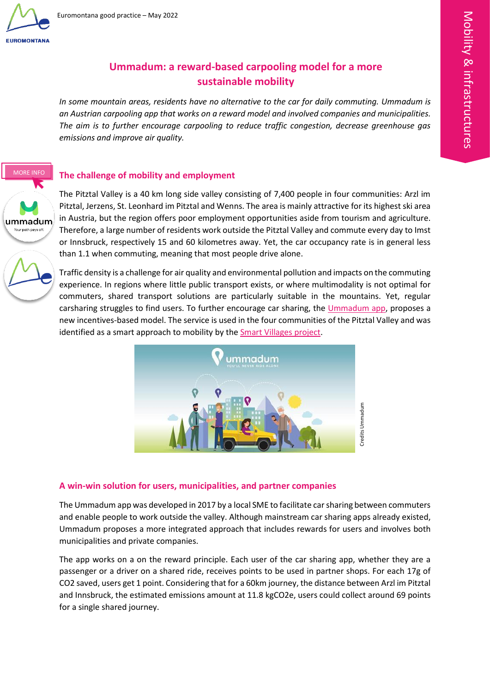

MORE INFO

[EN SAVOIR +](https://ummadum.com/en/)

ummadum Your path pays of

 $\overline{\phantom{a}}$ 

 $\blacksquare$  $\sim$ 

# **Ummadum: a reward-based carpooling model for a more sustainable mobility**

*In some mountain areas, residents have no alternative to the car for daily commuting. Ummadum is an Austrian carpooling app that works on a reward model and involved companies and municipalities. The aim is to further encourage carpooling to reduce traffic congestion, decrease greenhouse gas emissions and improve air quality.*  $\frac{S}{S}$  is  $\frac{S}{S}$ 

## **The challenge of mobility and employment**

The Pitztal Valley is a 40 km long side valley consisting of 7,400 people in four communities: Arzl im Pitztal, Jerzens, St. Leonhard im Pitztal and Wenns. The area is mainly attractive for its highest ski area in Austria, but the region offers poor employment opportunities aside from tourism and agriculture. Therefore, a large number of residents work outside the Pitztal Valley and commute every day to Imst or Innsbruck, respectively 15 and 60 kilometres away. Yet, the car occupancy rate is in general less than 1.1 when commuting, meaning that most people drive alone.

Traffic density is a challenge for air quality and environmental pollution and impacts on the commuting experience. In regions where little public transport exists, or where multimodality is not optimal for commuters, shared transport solutions are particularly suitable in the mountains. Yet, regular carsharing struggles to find users. To further encourage car sharing, the [Ummadum app,](https://ummadum.com/en/) proposes a new incentives-based model. The service is used in the four communities of the Pitztal Valley and was identified as a smart approach to mobility by the **Smart Villages project**.



### **A win-win solution for users, municipalities, and partner companies**

The Ummadum app was developed in 2017 by a local SME to facilitate car sharing between commuters and enable people to work outside the valley. Although mainstream car sharing apps already existed, Ummadum proposes a more integrated approach that includes rewards for users and involves both municipalities and private companies.

The app works on a on the reward principle. Each user of the car sharing app, whether they are a passenger or a driver on a shared ride, receives points to be used in partner shops. For each 17g of CO2 saved, users get 1 point. Considering that for a 60km journey, the distance between Arzl im Pitztal and Innsbruck, the estimated emissions amount at 11.8 kgCO2e, users could collect around 69 points for a single shared journey.